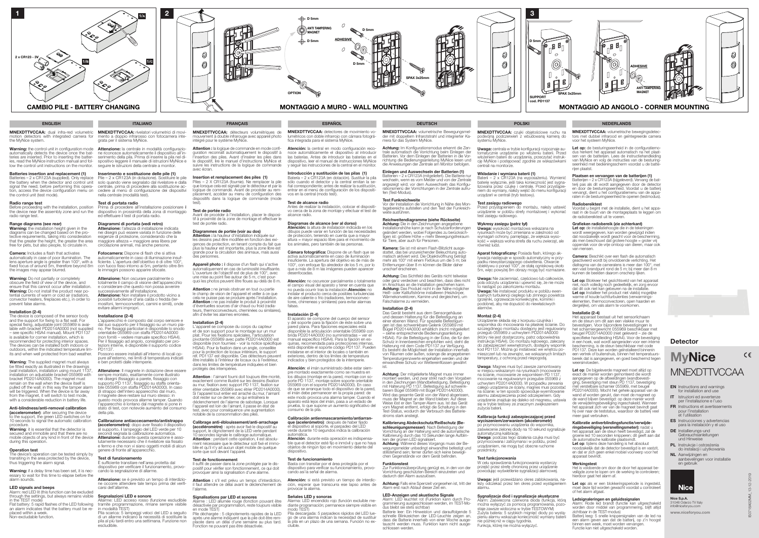- EN Instructions and warnings for installation and use
- IT Istruzioni ed avvertenze per l'installazione e l'uso
- FR Instructions et avertissements pour l'installation et l'utilisation
- ES Instrucciones y advertencias para la instalación y el uso
- DE Installierungs-und Gebrauchsanleitungen und Hinweise
- PL Instrukcje i ostrzeżenia do instalacji i użytkowania
- NL Aanwijzingen en aanbevelingen voor installatie en gebruik



**MNEXDTTVCCAA:** dual infra-red volumetric **MNEXDTTVCCAA:** rivelatori volumetrici di movi-<br>motion detectors with integrated camera for mento a doppio infrarosso con fotocamera inte-<br>grata per il sistema MyNice. motion detectors with integrated camera for the MyNice system.



**Radio range test**<br>Before proceeding with the installation, position<br>the device near the assembly zone and run the radio range test.

**Warning:** the installation height given in the<br>diagrams can be changed based on the pro-<br>tective requirements, taking into consideration that the greater the height, the greater the area free for pets, but also people, to circulate in.

ies, read the MyNice instruction manual and follow the control unit instructions on the monitor.

## Batteries insertion and replacement (1)

Batteries – 2 x CR123A (supplied). Only replace the battery when the detector and control unit solo quando viene segnalato dal rivelatore e dalla signal the need; before performing this opera- centrale, prima di procedere alla sostituzione action, access the device configuration menu on the control unit (test mode).

Warning: Do not partially or completely obscure the field of view of the device, and ensure that this cannot occur after installation. Warning: Do not install the product near potential currents of warm or cold air (radiators, convector heaters, fireplaces etc.), in order to prevent false alarms.

# Range diagrams (see rear)

Warning: The supplied magnet must always be fitted exactly as illustrated in the drawings (wall installation, installation using mount 1137, installation on adjustable bracket 055969 with bracket PD2014A0000). The magnet must ain on the wall when the device itself is pulled off the wall: in this way the tamper alarm will be triggered. When the device is far away<br>from the magnet, it will switch to test mode. from the magnet, it will switch to test mode with a considerable reduction in battery life.

(accelerometer): after securing the device to the support, the green LED switches on for 10 seconds to signal the automatic calibration procedure.

Camera: Includes a flash that activates automatically in case of poor illumination. The lens aperture angle is greater than 100°, with a fixed focus of around 5m, therefore beyond 8m the images may appear blurred.

Warning: it is essential that the detector is secured and immobile and that there are no mobile objects of any kind in front of the device during this operation.

Warning: if a delay time has been set, it is necessary to wait for this time to elapse before the alarm sounds.

# Installation (2-4)

The device is composed of the sensor body and the support for fixing to a flat wall. For special fixing, adjustable joint 055969 is available with bracket PD2014A0000 (not supplied – see specific HSA4 manual). Mount PD1137 is available for corner installation, which is recommended for protecting interior spaces. The devices can be installed both indoors or outdoors, within the indicated temperature lim its and when well protected from bad weather.

**Test di portata radio**<br>Prima di procedere all'installazione posizionare il<br>dispositivo in prossimità della zona di montaggio ed effettuare il test di portata radio.

Attenzione: Non oscurare parzialmente o totalmente il campo di visione dell'apparecchio e considerare che questo non possa avvenire successivamente all'installazione. **Attenzione:** Non installare il prodotto vicino a<br>possibili turbolenze d'aria calda o fredda (ter-<br>mosifoni, termoconvettori, camini e simili), onde evitare allarmi impropri.

# Anti-blindness/anti-removal calibration

Attenzione: Il magnete in dotazione deve essere sempre montato, esattamente come illustrato nei disegni (fissaggio a parete, fissaggio con supporto PD 1137, fissaggio su staffa orienta- bile 055969 con staffa PD2014A0000). In caso di strappo dell'intero apparecchio dal muro, il magnete deve restare sul muro stesso: i questo modo provoca allarme tamper. Quando l'apparecchio è lontano dal magnete si pone in stato di test, con notevole aumento del consumo della pila.

## Operation test

The device's operation can be tested simply by the area protected by the device, thus triggering the alarm signal.

## LED signals and beeps

**Segnalazioni LED e sonore**<br>Allarme: LED acceso rosso (funzione escludibile tramite programmazione, rimane sempre visibile n modalità TEST Pila scarica: 5 lampeggi veloci del LED a seguito

di un allarme indicano la necessità di sostituire la pila al più tardi entro una settimana. Funzione non **escludibile** 

Alarm: red LED lit (this function can be excluded through the settings, but always remains visible in the TEST mode) Flat battery: 5 rapid flashes of the LED following

an alarm indicates that the battery must be replaced within a week. Non-excludable function.



 $\begin{array}{|c|c|} \hline \textbf{2} & \textbf{2} \\\hline \end{array}$ 

Warning: the control unit in configuration mode Attenzione: la centrale in modalità configurazio **Warning:** the control unit in configuration mode **Attenzione:** la centrale in modalità configurazio-<br>automatically detects the device once the bat- ne riconosce automaticamente il dispositivo all'in-<br>teries are inserted. seguire le inconseguirante de la pila. Prima di inserire la pila nel di-<br>sepositivo leggere il manuale di istruzioni MyNice e<br>seguire le istruzioni della centrale a monitor.

> est de portectudio<br>vant de procéder à l'installation, placer le dispositif à proximité de la zone de montage et effectuer le test de portée radio.

# Inserimento e sostituzione delle pile (1)

Pile – 2 x CR123A (in dotazione). Sostituire le pile cedere al menù di configurazione dei dispositivi nella centrale (modalità test).

Attention : ne jamais obstruer en tout ou partie le champ de vision de l'appareil et veiller à ce que cela ne puisse pas se produire après l'installation. **Attention :** ne pas installer le produit à proximité<br>d'éventuelles sources d'air chaud ou froid (radiateurs, thermoconvecteurs, cheminées ou similaires), afin d'éviter les alarmes erronées.

L'appareil se compose du corps du capteur et de son support pour le montage sur un mur plat. Pour les fixations spéciales, l'articulation pivotante 055969 avec patte PD2014A0000 est disponible (non fournies - voir la notice spécifique HSA4). Pour la fixation dans un angle, conseillée pour la protection de locaux intérieurs, le support réf. PD1137 est disponible. Ces détecteurs peuvent être installés à l'intérieur de locaux ou à l'extérieur, dans les limites de température indiquées et bien protégés des intempéries.

# Diagrammi di portata (vedi retro)

Attenzione: l'altezza di installazione indicata nei disegni può essere variata in funzione delle esigenze di protezione, considerando che la maggiore altezza = maggiore area libera per circolazione animali, ma anche persone.

Fotocamera: Dispone di flash che si attiva automaticamente in caso di illuminazione insuf- ficiente. L'apertura dell'obiettivo è di oltre 100°, con fuoco fisso intorno ai 5m, pertanto oltre 8m le immagini possono apparire sfocate.

> Attention : l'aimant fourni doit toujours être monté, exactement comme illustré sur les dessins (fixation au mur, fixation avec support PD 1137, fixation sur étrier orientable 055969 avec étrier PD2014A0000). Si l'appareil tout entier est arraché du mur, l'aimant doit rester sur ce dernier, ce qui entraînera le déclenchement de l'alarme de sabotage. Lorsque l'appareil est loin de l'aimant, il passe en état de test, avec pour conséquence une augmentation notable de la consommation des piles.

Attention : s'il est prévu un temps d'interdiction, il faut attendre ce délai avant le déclenchement de l'alarme.

### Installazione (2-4)

L'apparecchio è composto dal corpo sensore e<br>dal suo supporto per il fissaggio su un muro piadal suo supporto per il fissaggio su un muro pia-<br>no. Per fissaggi particolari è disponibile lo snodo<br>orientabile 055969 con staffa PD2014A0000<br>(non forniti – vedere manuale specifico HSA4). Per il fissaggio ad angolo, consigliato per pro- tezioni interne, è disponibile il supporto codice PD1137.<br>Possono essere installati all'interno di locali op-

Atención: la central en modo configuración reconoce automáticamente el dispositivo al introducir las baterías. Antes de introducir las baterías en el dispositivo, leer el manual de instrucciones MyNice y seguir las instrucciones de la central en el monitor.

Possono essere installati all'interno di locali op- pure all'esterno, nei limiti di temperatura indicati e ben protetti dalle intemperie.

**Diagramas de alcance (ver al dorso)**<br>**Atención:** la altura de instalación indicada en los<br>dibujos puede variar en función de las necesidades de protección, teniendo en cuenta que a mayor altura = mayor espacio libre para el movimiento de los animales, pero también de las personas.

Atención: no oscurecer parcialmente o totalmente el campo visual del aparato y tener en cuenta que no pueda ocurrir tras la instalación.Atención: no instalar el producto cerca de posibles turbulencias de aire caliente o frío (radiadores, termoconvec tores, chimeneas y similares) para evitar alarmas falsas.

# Calibrazione antiaccecamento/antistrappo

(accelerometro): dopo aver fissato il dispositivo al supporto, il lampeggio del LED verde per 10<br>secondi segnala la calibrazione automatica.<br>**Attenzione:** durante questa operazione è assolutamente necessario che il rivelatore sia fissato e fermo e che non vi siano oggetti mobili di alcun genere di fronte all'apparecchio.

# Test di funzionamento

È sufficiente transitare nell'area protetta dal dispositivo per verificare il funzionamento, provocando la segnalazione di allarme.

Atención: el imán suministrado debe estar siempre montado exactamente como se muestra en los dibujos (montaje en la pared, montaje con so porte PD 1137, montaje sobre soporte orientable 055969 con el soporte PD2014A0000). En caso de que se arranque todo el dispositivo de la pared, el imán debe permanecer en la propia pared: de este modo provoca una alarma tamper. Cuando el aparato está lejos del imán, pasa a un estado de prueba, lo que supone un aumento significativo del consumo de la pila.

# Calibración antienmascaramiento/antiarran**que (acelerómetro)**: después de haber fijado<br>el dispositivo al soporte, el parpadeo del LED

Attenzione: se è previsto un tempo di interdizio- ne occorre attendere tale tempo prima del verifi- carsi dell'allarme.

**Atención**: durante esta operación es indispensa-<br>ble que el detector esté fijo e inmóvil y que no haya objetos de ningún tipo en movimiento delante del dispositivo.

Atención: si está previsto un tiempo de interdic ción, esperar que transcurra ese lapso antes de provocar la alarma.

MNEXDTTVCCAA: détecteurs volumétriques de mouvement à double infrarouge avec appareil photo intégré pour le système MyNice.

Attention : la logique de commande en mode confi guration reconnaît automatiquement le dispositif à l'insertion des piles. Avant d'insérer les piles dans le dispositif, lire le manuel d'instructions MyNice et suivre les instructions de la logique de commande avec écran.

> Vor der Installation die Vorrichtung in Nähe des Montagebereichs aufstellen und den Test der Funkreich weite ausführen.

## Insertion et remplacement des piles (1)

Piles – 2 X CR123A (fournie). Ne remplacer la pile que lorsque cela est signalé par le détecteur et par la logique de commande. Avant de procéder au remplacement, accéder au menu de configuration des dispositifs dans la logique de commande (mode test).

# Test de portée radio

 $\circledS$ 

0

# Diagrammes de portée (voir au dos)

Attention : la hauteur d'installation indiquée sur les dessins peut être modifiée en fonction des exigences de protection, en tenant compte du fait que plus la hauteur est importante, plus la zone libre est grande pour la circulation des animaux, mais aussi des personnes.

> Das Gerät besteht aus dem Sensorgehäuse<br>und dessen Halterung für die Befestigung an<br>einer ebenen Wand. Für spezielle Befestigun-<br>gen ist das schwenkbare Gelenk 055969 mit Bügel PD2014A0000 erhältlich (nicht mitgeliefer – siehe entsprechende Bedienungsanleitung HSA4). Für die Befestigung in der Ecke, die für den Schutz in Innenbereichen empfohlen wird, steht die Halterung mit dem Code PD1137 zur Verfügung. Es besteht die Möglichkeit der Installation innerhalb von Räumen oder außen, solange die angegebenen Temperaturgrenzwerte eingehalten werden und der einwandfreie Schutz vor Wettereinflüssen gewährt

Appareil photo : il dispose d'un flash qui s'active automatiquement en cas de luminosité insuffisante. L'ouverture de l'objectif est de plus de 100°, avec une mise au point fixe autour de 5 m, c'est pour quoi les photos peuvent être floues au-delà de 8 m.

> Achtung: Der mitgelieferte Magnet muss immer montiert werden, und zwar strikt nach den Vorgaben in den Zeichnungen (Wandbefestigung, Befestigung mit Halterung PD 1137, Befestigung auf schwenk-barem Bügel 055969 mit Bügel PD2014A0000). Wird das gesamte Gerät von der Wand abgerissen muss der Magnet an der Wand bleiben: Auf diese Weise löst er den Tamper-Alarm aus. Ist das Gerät vom Magnet entfernt, erfolgt die Schaltung in den Test-Status, wodurch der Verbrauch des Batterie-

> Kalibrierung Abdeckschutz/Reißschutz (Be **schleunigungsmesser)**: Nach Befestigung der<br>Vorrichtung an der Halterung wird die automatische<br>Kalibrierung durch das 10 Sekunden lange Aufblin-

**Achtung**: Während dieses Vorgangs muss der Be-<br>wegungsmelder unbedingt einwandfrei befestigt und stillstehend sein; ferner dürfen sich keine bewegli chen Gegenstände vor dem Gerät befinden.

### Installation (2-4)

**Uwaga:** wysokość montażowa wskazana na<br>rysunkach może być zmieniana w zależności od wymagań ochrony, pamiętając, że większa wysokość = większa wolna strefa dla ruchu zwierząt, ale

## Calibrage anti-éblouissement/anti-arrachage (accéléromètre) : après avoir fixé le dispositif au support, le clignotement de la LED verte pendant 10 secondes signale le calibrage automatique.<br>**Attention** : pendant cette opération, il est absolument nécessaire que le détecteur soit fixé et immo bile et qu'il n'y ait aucun objet mobile de quelque

# sorte que soit devant l'appareil. Test de fonctionnement

# Kalibracja funkcji zabezpieczającej przed wyciszeniem/zerwaniem (akcelerometr): po przymocowaniu urządzenia do wspornika,

zaświecenie zielonej diody na 10 sekund sygnalizuje automatyczną kalibrację.<br>**Uwaga**: podczas tego działania czujka musi być

Il suffit de passer dans la zone protégée par le dis- positif pour vérifier son fonctionnement, ce qui doit provoquer ainsi la signalisation d'une alarme.

W celu sprawdzenia funkcjonowania wystarczy przejść przez strefę chronioną przez urządzenie przejec przez elictę chrenienię przez arzęczenii.<br>powodując wyświetlenie sygnalizacji alarmowej

# Signalisations par LED et sonores

Alarme : LED allumée rouge (fonction pouvant être désactivée par programmation, reste toujours visible en mode TEST)

Pile déchargée : 5 clignotements rapides de la LED après une alarme indiquent que la pile doit être remplacée dans un délai d'une semaine au plus tard. Fonction ne pouvant pas être désactivée.

Let op: de besturingseenheid in de configuratiemodus herkent het apparaat automatisch na het plaat-sen van de batterijen. Lees de instructiehandleiding van MyNice en volg de instructies van de besturing an wyntee en volg as includies van de bedieningsscherm voordat u de batte rijen plaatst.

**Plaatsen en vervangen van de batterijen (1)**<br>Batterijen – 2 x CR123A (bijgeleverd). Vervang de bat-<br>terij pas als dit wordt aangegeven door de detector<br>en door de besturingseenheid. Voordat u de batterij vervangt, dient u het configuratiemenu van de appa raten in de besturingseenheid te openen (tes

MNEXDTTVCCAA: detectores de movimiento vo lumétricos con doble infrarrojo con cámara fotográ-fica integrada para el sistema MyNice.

### Grafieken radiobereik (zie achterkant) Let op: de installatiehoogte die in de tekeningen

# Introducción y sustitución de las pilas (1)

**Camera:** Beschikt over een flash die automatisch geactiveerd wordt bij onvoldoende verlichting. Het diafragma van de cameralens is meer dan 100°, met een vast brandpunt rond de 5 m; bij meer dan 8 m kunnen de beelden daarom onscherp lijken.

Batería – 2 x CR123A (en dotación). Sustituir la pila sólo cuando el detector y la central emitan la se ñal correspondiente; antes de realizar la sustitución, entrar en el menú de configuración de los dispositivos en la central (modo test).

> Let op: Blokkeer het gezichtsveld van het apparaat niet, noch volledig noch gedeeltelijk, en zorg ervoor dat dit ook niet kan gebeuren na de installatie. Let op: Installeer het product niet vlakbij mogelijke warme of koude luchtturbulenties (verwarmings-<br>elementen, thermoconvectoren, open haarden en dergelijke), om vals alarm te voorkomen.

## Test de alcance radio

Antes de realizar la instalación, colocar el dispositivo cerca de la zona de montaje y efectuar el test de alcance radio.

Cámara fotográfica: Dispone de un flash que se activa automáticamente en caso de iluminación insuficiente. La apertura del objetivo es de más de 100°, con enfoque fijo alrededor de los 5 m, por lo que a más de 8 m las imágenes pueden aparecer desenfocadas.

> Let op: als er een blokkeringsperiode is ingesteld. moet deze tijd worden gewacht voordat u controleert of het alarm afgaat.

**Ledsignaleringen en geluidssignalen**<br>Alarm: Rode led brandt (functie kan uitgeschakeld worden door middel van programmering, blijft altijd zichtbaar in de TEST-modus)

### Instalación (2-4)

www.niceforyou.com Nice S.p.A. 31046 Oderzo TV Italy info@niceforyou.com

El aparato se compone del cuerpo del sensor y del soporte para la fijación de éste sobre una pared plana. Para fijaciones especiales está disponible la articulación orientable 055969 con brida PD2014A0000 (no suministradas – ver el manual específico HSA4). Para la fijación en esquinas, recomendada para protecciones internas, está disponible el soporte código PD1137. Pueden instalarse en el interior de locales o también en exteriores, dentro de los límites de temperatura indicados y bien protegidos de la intemperie.

verde durante 10 segundos indica la calibración automática.

# Test de funcionamiento

Basta con transitar por el área protegida por el dispositivo para verificar su funcionamiento, provocando así la señal de alarma.

# Señales LED y sonoras

Alarma: LED encendido rojo (función excluible me-diante programación; permanece siempre visible en modo TEST) Pila descargada: 5 parpadeos rápidos del LED lue-

go de una alarma indican la necesidad de sustituir la pila en un plazo de una semana. Función no ex cluible.



trale automatisch die Vorrichtung beim Einlegen der Batterien. Vor dem Einlegen der Batterien in die Vor richtung die Bedienungsanleitung MyNice lesen und die Anweisungen der Zentrale am Monitor befolgen.

Einlegen und Auswechseln der Batterien (1) Batterien – 2 x CR123A (mitgeliefert). Die Batterie nur wechseln, wenn es vom Melder und von der Zentrale angezeigt wird; vor dem Auswechseln das Konfigurationsmenü der Vorrichtungen in der Zentrale aufru-

# fen (Test-Modus). Test Funkreichweite

Reichweitendiagramme (siehe Rückseite) **Achtung:** Die in den Zeichnungen angegebene<br>Installationshöhe kann je nach Schutzanforderungen geändert werden, wobei Folgendes zu berücksich-<br>tigen ist: größere Höhe = mehr Bewegungsfreiraum für Tiere, aber auch für Personen.

Kamera: Sie ist mit einem Flash-Blitzlicht ausgestattet, das bei unzureichender Beleuchtung auto-<br>matisch aktiviert wird. Die Objektivöffnung beträgt mehr als 100° mit einem Fixfokus um die 5 m; bei enternungen über 8 m können die Bilder daher unscharf erscheinen.

Achtung: Das Sichtfeld des Geräts nicht teilweise oder ganz verdecken und beachten, dass dies nicht<br>im Anschluss an die Installation geschehen kann.<br>**Achtung:** Das Produkt nicht in der Nähe möglicher Heiß- oder Kaltluftströme installieren (Heizkörper, Wärmekonvektoren, Kamine und dergleichen), um Falschalarme zu vermeiden.

Installation (2-4)

ist.

stroms stark ansteigt.

ken der grünen LED signalisiert.

Funktionstest

Zur Funktionsüberprüfung genügt es, in den von der Vorrichtung geschützten Bereich einzutreten und

**Achtung:** Falls eine Sperrzeit vorgesehen ist, tritt der<br>Alarm erst nach Ablauf dieser Zeit ein.

dadurch den Alarm auszulösen.

LED-Anzeigen und akustische Signale

Alarm: LED leuchtet rot (Funktion kann durch Pro-grammierung ausgeschlossen werden, im TEST-Mo-

dus bleibt sie stets sichtbar)

Batterie leer: Ein Hinweiston und darauffolgende 5 schnelle Blinkzeichen der LED-Leuchte zeigen an, dass die Batterie innerhalb von einer Woche ausgetauscht werden muss. Funktion kann nicht ausge-

schlossen werden.

MNEXDTTVCCAA: czujki objętościowe ruchu na podwójną podczerwień z wbudowaną kamerą do systemu MyNice.

Uwaga: centrala w trybie konfiguracji rozpoznaje au tomatycznie urządzenie po włożeniu baterii. Przed włożeniem baterii do urządzenia, przeczytać instruk cję MyNice i postępować zgodnie ze wskazówkami centrali na monitorze.

# Wkładanie i wymiana baterii (1)

Baterii – 2 x CR123A (na wyposażeniu). Wymienić baterię wyłącznie, jeśli taka konieczność jest sygna- lizowana przez czujkę i centralę. Przed przystąpie niem do wymiany, należy wejść do menu konfiguracji urządzeń w centrali (tryb testowy).

**Test zasięgu radiowego**<br>Przed przystąpieniem do montażu, należy ustawić<br>urządzenie w pobliżu strefy montażowej i wykonać test zasięgu radiowego.

# Wykresy zasięgu (patrz tył)

również ludzi.

Aparat fotograficzny: Posiada flash, którego ak tywacja następuje w sposób automatyczny w przy- padku niewystarczającego oświetlenia. Otwarcie obiektywu o ponad 100°, ze stałą ogniskową około 5m, więc powyżej 8m obrazy mogą być rozmazane.

Uwaga: Nie zaciemniać, częściowo lub całkowicie, pola odczytu urządzenia i upewnić się, że nie może to nastąpić po zakończeniu montażu.

Uwaga: Nie instalować produktu w pobliżu ewentualnych turbulencji ciepłego lub zimnego powietrza (grzejniki, ogrzewacze konwekcyjne, kominki i podobne), aby nie dopuścić do niewłaściwych

alarmów.

Montaż (2-4) Urządzenie składa się z korpusu czujnika i wspornika do mocowania na płaskiej ścianie. Do szczególnego montażu dostępny jest regulowany przegub 055969 z uchwytem PD2014A0000 (który nie jest dostarczony, patrz odpowiednia instrukcja HSA4). Do montażu kątowego, zalecany do zabezpieczeń wewnętrznych, dostępny wspornik kod PD1137. Można go instalować we wnętrzu pomieszczeń lub na zewnątrz, we wskazanych limitach temperatury, z ochroną przed niepogodą.

Uwaga: Magnes musi być zawsze zamontowany w miejscu wskazanym na rysunkach (mocowanie na ścianie, mocowanie ze wspornikiem PD 1137, mocowanie na regulowanym przegubie 055969 z uchwytem PD2014A0000). W przypadku zerwania całego urządzenia ze ściany, magnes musi pozostać na ścianie: w ten sposób spowoduje wyemitowanie alarmu zabezpieczenia przed odczepieniem. Gdy urządzenie znajduje się daleko od magnesu, ustawia się w trybie testowy ze znacznym zwiększeniem zużycia baterii.

przymocowana i zatrzymana i w pobliżu, przed urządzeniem, nie mogą być obecne ruchome

# Test funkcionowania

przedmioty.

Uwaga: jeśli przewidziano okres zablokowania, należy odczekać przez ten okres przed wystąpieniem

alarmu.

# Sygnalizacje diod i sygnalizacje akustyczne

Alarm: Zaświecona czerwona dioda (funkcja, którą można wyłączyć za pomocą programowania, pozo-<br>staje zawsze widoczna w trybie TESTOWYM)<br>Zużyta bateria: 5 szybkich mignięć diody po wystąpieniu alarmu wskazuje konieczność wymiany baterii nie później niż w ciągu tygodnia.

Funkcja, której nie można wyłączyć.

MNEXDTTVCCAA: volumetrische bewegingsdetec tors met dubbel infrarood en geïntegreerde camera voor het systeem MyNice.

## Radiobereiktest

Voordat u begint met de installatie, dient u het appa raat in de buurt van de montageplaats te leggen om de radiobereiktest uit te voeren.

wordt weergegeven, kan worden gewijzigd indien dat noodzakelijk wordt geacht voor de bescherming, als men beschouwt dat grotere hoogte = groter vrij oppervlak voor de vrije omloop van dieren, maar ook van mensen.

### Installatie (2-4)

Het apparaat bestaat uit het sensorlichaam en de steun om dit aan een vlakke muur te bevestigen. Voor bijzondere bevestigingen is het scharniergewricht 055969 beschikbaar met beugel PD2014A0000 (niet geleverd – zie de specifieke handleiding HSA4). Voor de bevestiging in een hoek, wat wordt aangeraden voor een interne bescherming, is de steun beschikbaar met code PD1137. Deze kan worden geïnstalleerd binnenin een vertrek of buitenshuis, binnen het temperatuurs bereik dat is aangegeven, en goed beschermd tegen weersinvloeden.

Let op: De bijgeleverde magneet moet altijd op exact de manier worden gemonteerd die wordt aangegeven op de afbeeldingen (wandbevesti- ging, bevestiging met steun PD 1137, bevestiging met verstelbare scharnier 055969, met beuge PD2014A0000). Mocht het gehele apparaat van de wand af worden gerukt, dan moet de magneet op de wand blijven bevestigd: op deze manier wordt de verwijderingsbeveiliging ingeschakeld. Wanneer het apparaat zich ver van de magneet bevindt gaat hij over naar de teststatus, waardoor de batterij veel meer gaat verbruiken.

# Kalibratie antiverblindingsfunctie/verwijde-

ringsbeveiliging (versnellingsmeter): nadat u het apparaat aan de steun heeft bevestigd, zal de groene led 10 seconden knipperen; dit geeft aan dat de automatische kalibratie plaatsvindt. Let op: tijdens deze handeling is het absoluut noodzakelijk dat de detector bevestigd is en vastzit, en dat er zich geen enkel mobiel voorwerp voor het apparaat bevindt.

### **Werkingstest**

Het is voldoende om door de door het apparaat beveiligde zone te lopen om de werking te controleren; hierdoor gaat het alarm af.

Batterij leeg: 5 snelle knippersignalen van de led na een alarm geven aan dat de batterij, op z'n hoogst binnen een week, moet worden vervangen. Functie kan niet uitgeschakeld worden.

# **Detector**

# **MyNice**  $C \in$ **MNEXDTTVCCAA**

OPTION

 $\bigoplus$  D 5mm

 $\overline{\bigoplus}$  D 5mm

SPAX 3x25mm

UG)

**MNEXDTTVCCAA:** volumetrische Bewegungsmel-<br>der mit doppeltem Infrarotstrahl und integrierter Kader mit doppeltem Infrarotstrahl und integrierter Ka-mera für das System MyNice. Achtung: Im Konfigurationsmodus erkennt die Zen-

MONTAGGIO A MURO - WALL MOUNTING

ANTI TAMPERING D5mm <u>ADHESIVE</u>

 $\bigcap$ 

 $\bigcap$ 

 $D$  5mm

**CONTROLLER** 

 $\mathcal{O}_{\textcircled{\tiny 2}}$